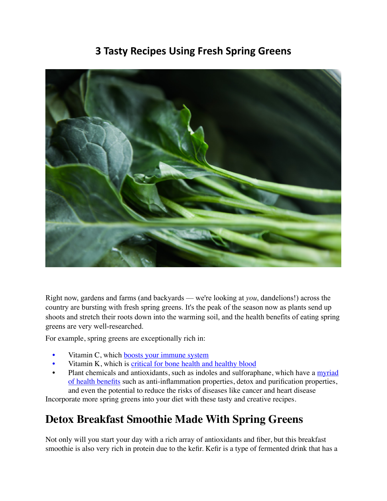#### **3 Tasty Recipes Using Fresh Spring Greens**



Right now, gardens and farms (and backyards — we're looking at *you*, dandelions!) across the country are bursting with fresh spring greens. It's the peak of the season now as plants send up shoots and stretch their roots down into the warming soil, and the health benefits of eating spring greens are very well-researched.

For example, spring greens are exceptionally rich in:

- Vitamin C, which [boosts your immune system](https://www.frontiersin.org/articles/10.3389/fimmu.2020.574029/full)
- Vitamin K, which is [critical for bone health and healthy blood](https://lpi.oregonstate.edu/mic/vitamins/vitamin-K)
- Plant chemicals and antioxidants, such as indoles and sulforaphane, which have a myriad [of health benefits](https://www.frontiersin.org/articles/10.3389/fnut.2020.00111/full) such as anti-inflammation properties, detox and purification properties, and even the potential to reduce the risks of diseases like cancer and heart disease

Incorporate more spring greens into your diet with these tasty and creative recipes.

## **Detox Breakfast Smoothie Made With Spring Greens**

Not only will you start your day with a rich array of antioxidants and fiber, but this breakfast smoothie is also very rich in protein due to the kefir. Kefir is a type of fermented drink that has a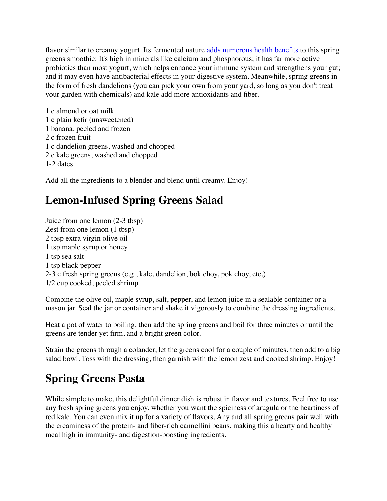flavor similar to creamy yogurt. Its fermented nature [adds numerous health benefits](https://www.healthline.com/nutrition/9-health-benefits-of-kefir#_noHeaderPrefixedContent) to this spring greens smoothie: It's high in minerals like calcium and phosphorous; it has far more active probiotics than most yogurt, which helps enhance your immune system and strengthens your gut; and it may even have antibacterial effects in your digestive system. Meanwhile, spring greens in the form of fresh dandelions (you can pick your own from your yard, so long as you don't treat your garden with chemicals) and kale add more antioxidants and fiber.

```
1 c almond or oat milk
1 c plain kefir (unsweetened)
1 banana, peeled and frozen
2 c frozen fruit
1 c dandelion greens, washed and chopped
2 c kale greens, washed and chopped
1-2 dates
```
Add all the ingredients to a blender and blend until creamy. Enjoy!

## **Lemon-Infused Spring Greens Salad**

Juice from one lemon (2-3 tbsp) Zest from one lemon (1 tbsp) 2 tbsp extra virgin olive oil 1 tsp maple syrup or honey 1 tsp sea salt 1 tsp black pepper 2-3 c fresh spring greens (e.g., kale, dandelion, bok choy, pok choy, etc.) 1/2 cup cooked, peeled shrimp

Combine the olive oil, maple syrup, salt, pepper, and lemon juice in a sealable container or a mason jar. Seal the jar or container and shake it vigorously to combine the dressing ingredients.

Heat a pot of water to boiling, then add the spring greens and boil for three minutes or until the greens are tender yet firm, and a bright green color.

Strain the greens through a colander, let the greens cool for a couple of minutes, then add to a big salad bowl. Toss with the dressing, then garnish with the lemon zest and cooked shrimp. Enjoy!

#### **Spring Greens Pasta**

While simple to make, this delightful dinner dish is robust in flavor and textures. Feel free to use any fresh spring greens you enjoy, whether you want the spiciness of arugula or the heartiness of red kale. You can even mix it up for a variety of flavors. Any and all spring greens pair well with the creaminess of the protein- and fiber-rich cannellini beans, making this a hearty and healthy meal high in immunity- and digestion-boosting ingredients.